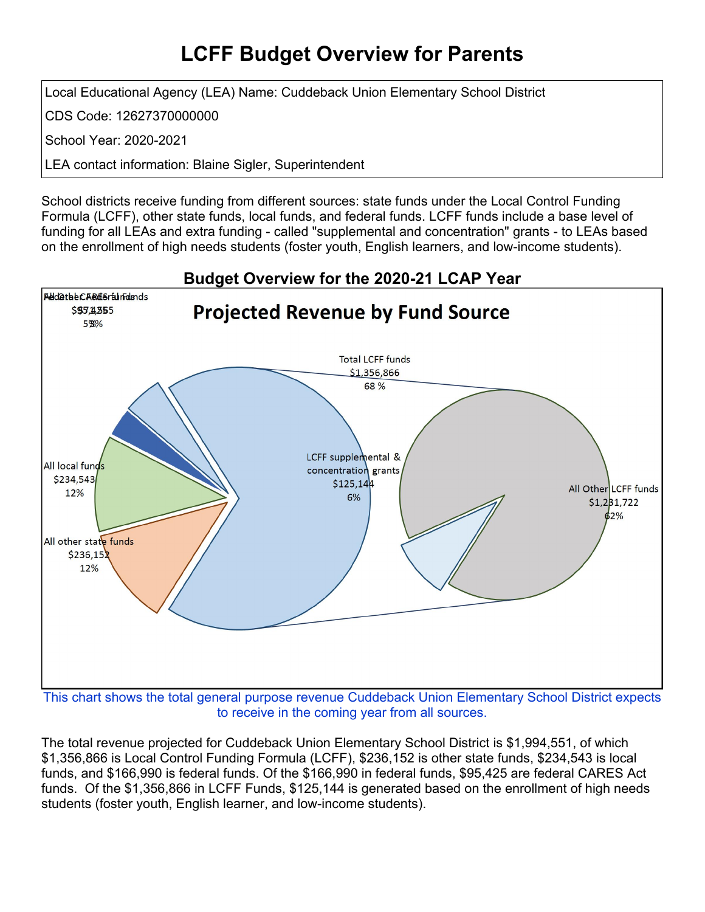## **LCFF Budget Overview for Parents**

Local Educational Agency (LEA) Name: Cuddeback Union Elementary School District

CDS Code: 12627370000000

School Year: 2020-2021

LEA contact information: Blaine Sigler, Superintendent

School districts receive funding from different sources: state funds under the Local Control Funding Formula (LCFF), other state funds, local funds, and federal funds. LCFF funds include a base level of funding for all LEAs and extra funding - called "supplemental and concentration" grants - to LEAs based on the enrollment of high needs students (foster youth, English learners, and low-income students).



to receive in the coming year from all sources.

The total revenue projected for Cuddeback Union Elementary School District is \$1,994,551, of which \$1,356,866 is Local Control Funding Formula (LCFF), \$236,152 is other state funds, \$234,543 is local funds, and \$166,990 is federal funds. Of the \$166,990 in federal funds, \$95,425 are federal CARES Act funds. Of the \$1,356,866 in LCFF Funds, \$125,144 is generated based on the enrollment of high needs students (foster youth, English learner, and low-income students).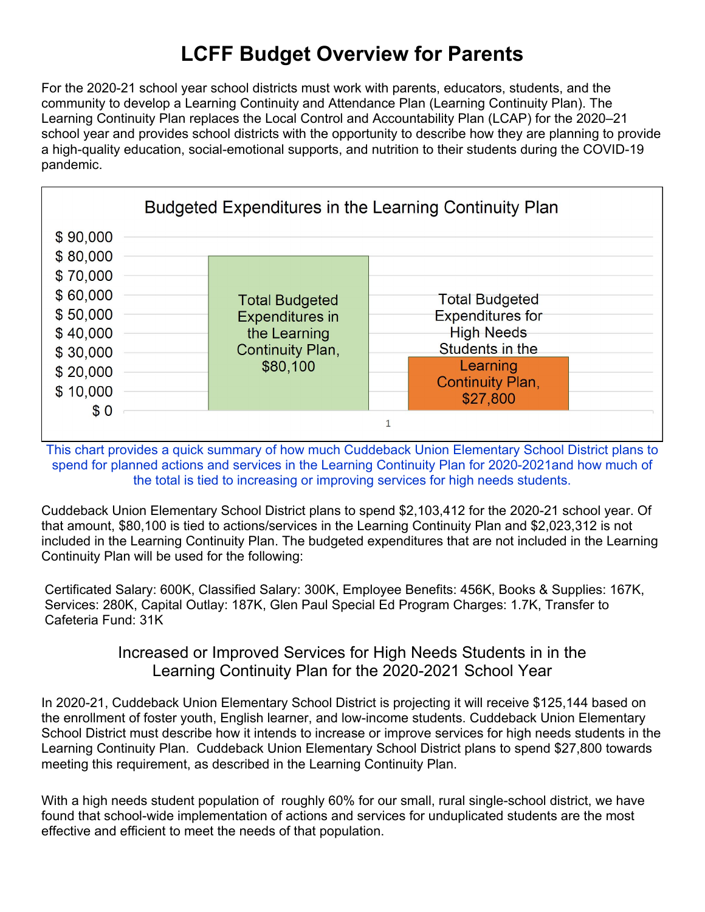# **LCFF Budget Overview for Parents**

For the 2020-21 school year school districts must work with parents, educators, students, and the community to develop a Learning Continuity and Attendance Plan (Learning Continuity Plan). The Learning Continuity Plan replaces the Local Control and Accountability Plan (LCAP) for the 2020–21 school year and provides school districts with the opportunity to describe how they are planning to provide a high-quality education, social-emotional supports, and nutrition to their students during the COVID-19 pandemic.



This chart provides a quick summary of how much Cuddeback Union Elementary School District plans to spend for planned actions and services in the Learning Continuity Plan for 2020-2021and how much of the total is tied to increasing or improving services for high needs students.

Cuddeback Union Elementary School District plans to spend \$2,103,412 for the 2020-21 school year. Of that amount, \$80,100 is tied to actions/services in the Learning Continuity Plan and \$2,023,312 is not included in the Learning Continuity Plan. The budgeted expenditures that are not included in the Learning Continuity Plan will be used for the following:

Certificated Salary: 600K, Classified Salary: 300K, Employee Benefits: 456K, Books & Supplies: 167K, Services: 280K, Capital Outlay: 187K, Glen Paul Special Ed Program Charges: 1.7K, Transfer to Cafeteria Fund: 31K

#### Increased or Improved Services for High Needs Students in in the Learning Continuity Plan for the 2020-2021 School Year

In 2020-21, Cuddeback Union Elementary School District is projecting it will receive \$125,144 based on the enrollment of foster youth, English learner, and low-income students. Cuddeback Union Elementary School District must describe how it intends to increase or improve services for high needs students in the Learning Continuity Plan. Cuddeback Union Elementary School District plans to spend \$27,800 towards meeting this requirement, as described in the Learning Continuity Plan.

With a high needs student population of roughly 60% for our small, rural single-school district, we have found that school-wide implementation of actions and services for unduplicated students are the most effective and efficient to meet the needs of that population.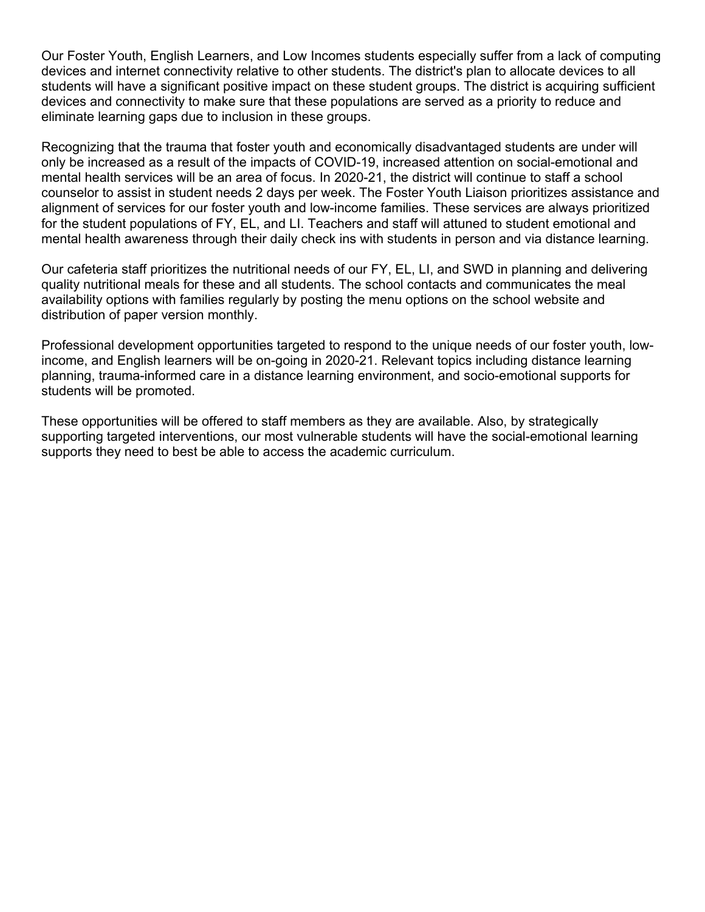Our Foster Youth, English Learners, and Low Incomes students especially suffer from a lack of computing devices and internet connectivity relative to other students. The district's plan to allocate devices to all students will have a significant positive impact on these student groups. The district is acquiring sufficient devices and connectivity to make sure that these populations are served as a priority to reduce and eliminate learning gaps due to inclusion in these groups.

Recognizing that the trauma that foster youth and economically disadvantaged students are under will only be increased as a result of the impacts of COVID-19, increased attention on social-emotional and mental health services will be an area of focus. In 2020-21, the district will continue to staff a school counselor to assist in student needs 2 days per week. The Foster Youth Liaison prioritizes assistance and alignment of services for our foster youth and low-income families. These services are always prioritized for the student populations of FY, EL, and LI. Teachers and staff will attuned to student emotional and mental health awareness through their daily check ins with students in person and via distance learning.

Our cafeteria staff prioritizes the nutritional needs of our FY, EL, LI, and SWD in planning and delivering quality nutritional meals for these and all students. The school contacts and communicates the meal availability options with families regularly by posting the menu options on the school website and distribution of paper version monthly.

Professional development opportunities targeted to respond to the unique needs of our foster youth, lowincome, and English learners will be on-going in 2020-21. Relevant topics including distance learning planning, trauma-informed care in a distance learning environment, and socio-emotional supports for students will be promoted.

These opportunities will be offered to staff members as they are available. Also, by strategically supporting targeted interventions, our most vulnerable students will have the social-emotional learning supports they need to best be able to access the academic curriculum.